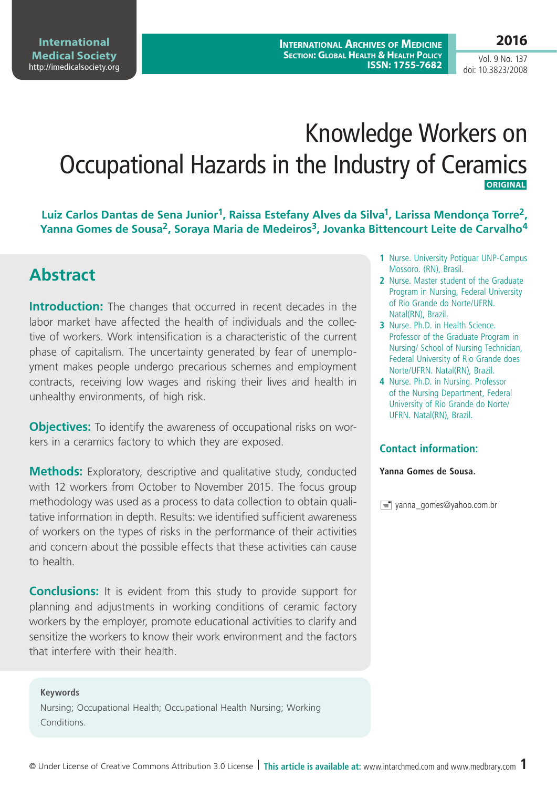**International Archives of Medicine Section: Global Health & Health Policy ISSN: 1755-7682**

Vol. 9 No. 137 doi: 10.3823/2008

# Knowledge Workers on Occupational Hazards in the Industry of Ceramics **ORIGINAL**

**Luiz Carlos Dantas de Sena Junior1, Raissa Estefany Alves da Silva1, Larissa Mendonça Torre2,**  Yanna Gomes de Sousa<sup>2</sup>, Soraya Maria de Medeiros<sup>3</sup>, Jovanka Bittencourt Leite de Carvalho<sup>4</sup>

## **Abstract**

**Introduction:** The changes that occurred in recent decades in the labor market have affected the health of individuals and the collective of workers. Work intensification is a characteristic of the current phase of capitalism. The uncertainty generated by fear of unemployment makes people undergo precarious schemes and employment contracts, receiving low wages and risking their lives and health in unhealthy environments, of high risk.

**Objectives:** To identify the awareness of occupational risks on workers in a ceramics factory to which they are exposed.

**Methods:** Exploratory, descriptive and qualitative study, conducted with 12 workers from October to November 2015. The focus group methodology was used as a process to data collection to obtain qualitative information in depth. Results: we identified sufficient awareness of workers on the types of risks in the performance of their activities and concern about the possible effects that these activities can cause to health.

**Conclusions:** It is evident from this study to provide support for planning and adjustments in working conditions of ceramic factory workers by the employer, promote educational activities to clarify and sensitize the workers to know their work environment and the factors that interfere with their health.

**Keywords**

Nursing; Occupational Health; Occupational Health Nursing; Working Conditions.

- **1** Nurse. University Potiguar UNP-Campus Mossoro. (RN), Brasil.
- **2** Nurse. Master student of the Graduate Program in Nursing, Federal University of Rio Grande do Norte/UFRN. Natal(RN), Brazil.
- **3** Nurse. Ph.D. in Health Science. Professor of the Graduate Program in Nursing/ School of Nursing Technician, Federal University of Rio Grande does Norte/UFRN. Natal(RN), Brazil.
- **4** Nurse. Ph.D. in Nursing. Professor of the Nursing Department, Federal University of Rio Grande do Norte/ UFRN. Natal(RN), Brazil.

#### **Contact information:**

**Yanna Gomes de Sousa.**

yanna\_gomes@yahoo.com.br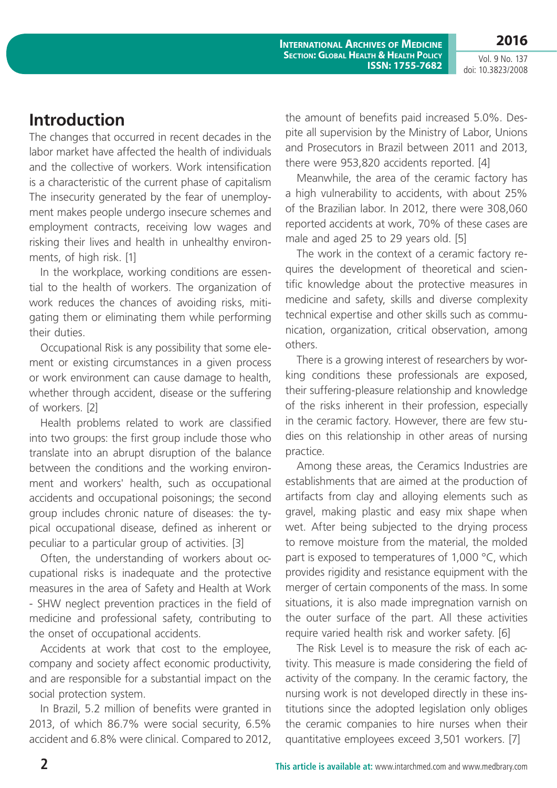**2016** Vol. 9 No. 137

**International Archives of Medicine Section: Global Health & Health Policy ISSN: 1755-7682**

doi: 10.3823/2008

### **Introduction**

The changes that occurred in recent decades in the labor market have affected the health of individuals and the collective of workers. Work intensification is a characteristic of the current phase of capitalism The insecurity generated by the fear of unemployment makes people undergo insecure schemes and employment contracts, receiving low wages and risking their lives and health in unhealthy environments, of high risk. [1]

In the workplace, working conditions are essential to the health of workers. The organization of work reduces the chances of avoiding risks, mitigating them or eliminating them while performing their duties.

Occupational Risk is any possibility that some element or existing circumstances in a given process or work environment can cause damage to health, whether through accident, disease or the suffering of workers. [2]

Health problems related to work are classified into two groups: the first group include those who translate into an abrupt disruption of the balance between the conditions and the working environment and workers' health, such as occupational accidents and occupational poisonings; the second group includes chronic nature of diseases: the typical occupational disease, defined as inherent or peculiar to a particular group of activities. [3]

Often, the understanding of workers about occupational risks is inadequate and the protective measures in the area of Safety and Health at Work - SHW neglect prevention practices in the field of medicine and professional safety, contributing to the onset of occupational accidents.

Accidents at work that cost to the employee, company and society affect economic productivity, and are responsible for a substantial impact on the social protection system.

In Brazil, 5.2 million of benefits were granted in 2013, of which 86.7% were social security, 6.5% accident and 6.8% were clinical. Compared to 2012, the amount of benefits paid increased 5.0%. Despite all supervision by the Ministry of Labor, Unions and Prosecutors in Brazil between 2011 and 2013, there were 953,820 accidents reported. [4]

Meanwhile, the area of the ceramic factory has a high vulnerability to accidents, with about 25% of the Brazilian labor. In 2012, there were 308,060 reported accidents at work, 70% of these cases are male and aged 25 to 29 years old. [5]

The work in the context of a ceramic factory requires the development of theoretical and scientific knowledge about the protective measures in medicine and safety, skills and diverse complexity technical expertise and other skills such as communication, organization, critical observation, among others.

There is a growing interest of researchers by working conditions these professionals are exposed, their suffering-pleasure relationship and knowledge of the risks inherent in their profession, especially in the ceramic factory. However, there are few studies on this relationship in other areas of nursing practice.

Among these areas, the Ceramics Industries are establishments that are aimed at the production of artifacts from clay and alloying elements such as gravel, making plastic and easy mix shape when wet. After being subjected to the drying process to remove moisture from the material, the molded part is exposed to temperatures of 1,000 °C, which provides rigidity and resistance equipment with the merger of certain components of the mass. In some situations, it is also made impregnation varnish on the outer surface of the part. All these activities require varied health risk and worker safety. [6]

The Risk Level is to measure the risk of each activity. This measure is made considering the field of activity of the company. In the ceramic factory, the nursing work is not developed directly in these institutions since the adopted legislation only obliges the ceramic companies to hire nurses when their quantitative employees exceed 3,501 workers. [7]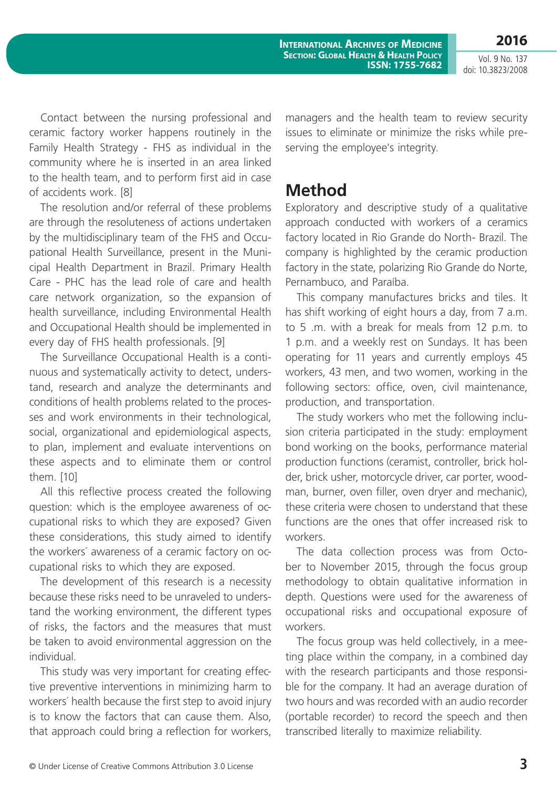**2016**

Contact between the nursing professional and ceramic factory worker happens routinely in the Family Health Strategy - FHS as individual in the community where he is inserted in an area linked to the health team, and to perform first aid in case of accidents work. [8]

The resolution and/or referral of these problems are through the resoluteness of actions undertaken by the multidisciplinary team of the FHS and Occupational Health Surveillance, present in the Municipal Health Department in Brazil. Primary Health Care - PHC has the lead role of care and health care network organization, so the expansion of health surveillance, including Environmental Health and Occupational Health should be implemented in every day of FHS health professionals. [9]

The Surveillance Occupational Health is a continuous and systematically activity to detect, understand, research and analyze the determinants and conditions of health problems related to the processes and work environments in their technological, social, organizational and epidemiological aspects, to plan, implement and evaluate interventions on these aspects and to eliminate them or control them. [10]

All this reflective process created the following question: which is the employee awareness of occupational risks to which they are exposed? Given these considerations, this study aimed to identify the workers´ awareness of a ceramic factory on occupational risks to which they are exposed.

The development of this research is a necessity because these risks need to be unraveled to understand the working environment, the different types of risks, the factors and the measures that must be taken to avoid environmental aggression on the individual.

This study was very important for creating effective preventive interventions in minimizing harm to workers´ health because the first step to avoid injury is to know the factors that can cause them. Also, that approach could bring a reflection for workers, managers and the health team to review security issues to eliminate or minimize the risks while preserving the employee's integrity.

### **Method**

Exploratory and descriptive study of a qualitative approach conducted with workers of a ceramics factory located in Rio Grande do North- Brazil. The company is highlighted by the ceramic production factory in the state, polarizing Rio Grande do Norte, Pernambuco, and Paraíba.

This company manufactures bricks and tiles. It has shift working of eight hours a day, from 7 a.m. to 5 .m. with a break for meals from 12 p.m. to 1 p.m. and a weekly rest on Sundays. It has been operating for 11 years and currently employs 45 workers, 43 men, and two women, working in the following sectors: office, oven, civil maintenance, production, and transportation.

The study workers who met the following inclusion criteria participated in the study: employment bond working on the books, performance material production functions (ceramist, controller, brick holder, brick usher, motorcycle driver, car porter, woodman, burner, oven filler, oven dryer and mechanic), these criteria were chosen to understand that these functions are the ones that offer increased risk to workers.

The data collection process was from October to November 2015, through the focus group methodology to obtain qualitative information in depth. Questions were used for the awareness of occupational risks and occupational exposure of workers.

The focus group was held collectively, in a meeting place within the company, in a combined day with the research participants and those responsible for the company. It had an average duration of two hours and was recorded with an audio recorder (portable recorder) to record the speech and then transcribed literally to maximize reliability.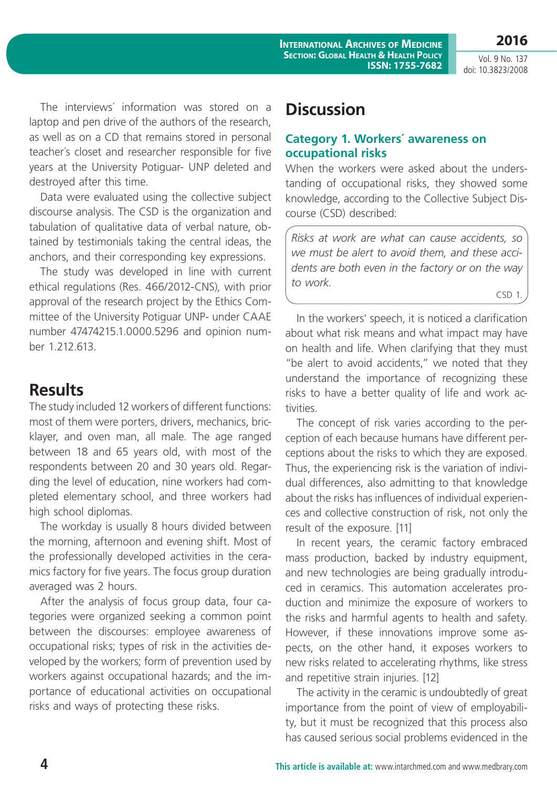**2016**

The interviews´ information was stored on a laptop and pen drive of the authors of the research, as well as on a CD that remains stored in personal teacher´s closet and researcher responsible for five years at the University Potiguar- UNP deleted and destroyed after this time.

Data were evaluated using the collective subject discourse analysis. The CSD is the organization and tabulation of qualitative data of verbal nature, obtained by testimonials taking the central ideas, the anchors, and their corresponding key expressions.

The study was developed in line with current ethical regulations (Res. 466/2012-CNS), with prior approval of the research project by the Ethics Committee of the University Potiguar UNP- under CAAE number 47474215.1.0000.5296 and opinion number 1.212.613.

### **Results**

The study included 12 workers of different functions: most of them were porters, drivers, mechanics, bricklayer, and oven man, all male. The age ranged between 18 and 65 years old, with most of the respondents between 20 and 30 years old. Regarding the level of education, nine workers had completed elementary school, and three workers had high school diplomas.

The workday is usually 8 hours divided between the morning, afternoon and evening shift. Most of the professionally developed activities in the ceramics factory for five years. The focus group duration averaged was 2 hours.

After the analysis of focus group data, four categories were organized seeking a common point between the discourses: employee awareness of occupational risks; types of risk in the activities developed by the workers; form of prevention used by workers against occupational hazards; and the importance of educational activities on occupational risks and ways of protecting these risks.

## **Discussion**

### **Category 1. Workers´ awareness on occupational risks**

When the workers were asked about the understanding of occupational risks, they showed some knowledge, according to the Collective Subject Discourse (CSD) described:

*Risks at work are what can cause accidents, so we must be alert to avoid them, and these accidents are both even in the factory or on the way to work.*

CSD 1

In the workers' speech, it is noticed a clarification about what risk means and what impact may have on health and life. When clarifying that they must "be alert to avoid accidents," we noted that they understand the importance of recognizing these risks to have a better quality of life and work activities.

The concept of risk varies according to the perception of each because humans have different perceptions about the risks to which they are exposed. Thus, the experiencing risk is the variation of individual differences, also admitting to that knowledge about the risks has influences of individual experiences and collective construction of risk, not only the result of the exposure. [11]

In recent years, the ceramic factory embraced mass production, backed by industry equipment, and new technologies are being gradually introduced in ceramics. This automation accelerates production and minimize the exposure of workers to the risks and harmful agents to health and safety. However, if these innovations improve some aspects, on the other hand, it exposes workers to new risks related to accelerating rhythms, like stress and repetitive strain injuries. [12]

The activity in the ceramic is undoubtedly of great importance from the point of view of employability, but it must be recognized that this process also has caused serious social problems evidenced in the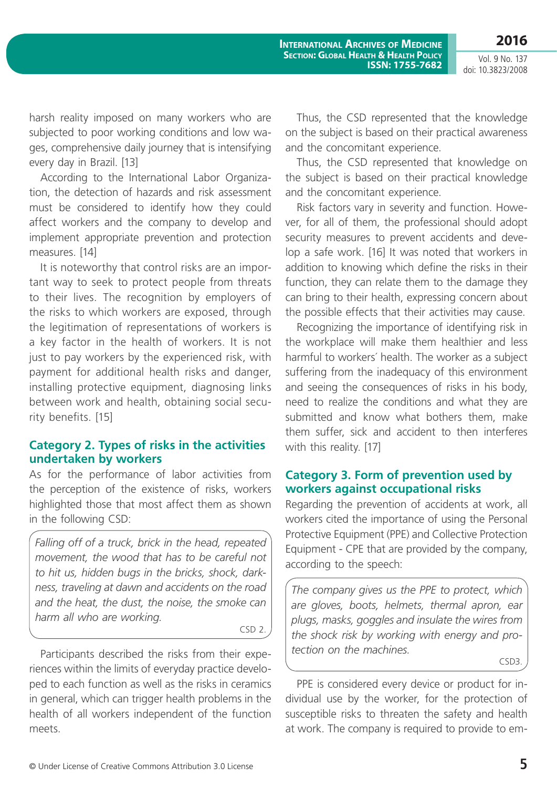**2016**

harsh reality imposed on many workers who are subjected to poor working conditions and low wages, comprehensive daily journey that is intensifying every day in Brazil. [13]

According to the International Labor Organization, the detection of hazards and risk assessment must be considered to identify how they could affect workers and the company to develop and implement appropriate prevention and protection measures. [14]

It is noteworthy that control risks are an important way to seek to protect people from threats to their lives. The recognition by employers of the risks to which workers are exposed, through the legitimation of representations of workers is a key factor in the health of workers. It is not just to pay workers by the experienced risk, with payment for additional health risks and danger, installing protective equipment, diagnosing links between work and health, obtaining social security benefits. [15]

#### **Category 2. Types of risks in the activities undertaken by workers**

As for the performance of labor activities from the perception of the existence of risks, workers highlighted those that most affect them as shown in the following CSD:

*Falling off of a truck, brick in the head, repeated movement, the wood that has to be careful not to hit us, hidden bugs in the bricks, shock, darkness, traveling at dawn and accidents on the road and the heat, the dust, the noise, the smoke can harm all who are working.*

CSD 2.

Participants described the risks from their experiences within the limits of everyday practice developed to each function as well as the risks in ceramics in general, which can trigger health problems in the health of all workers independent of the function meets.

Thus, the CSD represented that the knowledge on the subject is based on their practical awareness and the concomitant experience.

Thus, the CSD represented that knowledge on the subject is based on their practical knowledge and the concomitant experience.

Risk factors vary in severity and function. However, for all of them, the professional should adopt security measures to prevent accidents and develop a safe work. [16] It was noted that workers in addition to knowing which define the risks in their function, they can relate them to the damage they can bring to their health, expressing concern about the possible effects that their activities may cause.

Recognizing the importance of identifying risk in the workplace will make them healthier and less harmful to workers´ health. The worker as a subject suffering from the inadequacy of this environment and seeing the consequences of risks in his body, need to realize the conditions and what they are submitted and know what bothers them, make them suffer, sick and accident to then interferes with this reality. [17]

#### **Category 3. Form of prevention used by workers against occupational risks**

Regarding the prevention of accidents at work, all workers cited the importance of using the Personal Protective Equipment (PPE) and Collective Protection Equipment - CPE that are provided by the company, according to the speech:

*The company gives us the PPE to protect, which are gloves, boots, helmets, thermal apron, ear plugs, masks, goggles and insulate the wires from the shock risk by working with energy and protection on the machines.*

CSD3.

PPE is considered every device or product for individual use by the worker, for the protection of susceptible risks to threaten the safety and health at work. The company is required to provide to em-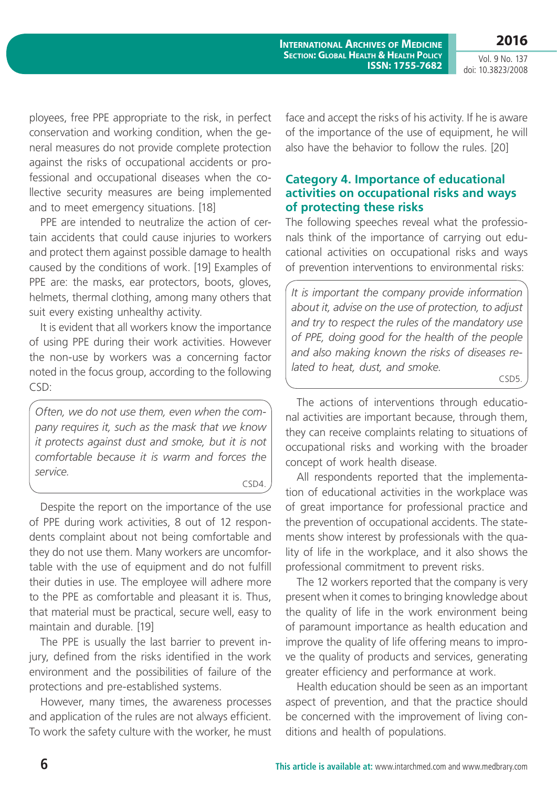**International Archives of Medicine Section: Global Health & Health Policy ISSN: 1755-7682**

Vol. 9 No. 137 doi: 10.3823/2008

**2016**

ployees, free PPE appropriate to the risk, in perfect conservation and working condition, when the general measures do not provide complete protection against the risks of occupational accidents or professional and occupational diseases when the collective security measures are being implemented and to meet emergency situations. [18]

PPE are intended to neutralize the action of certain accidents that could cause injuries to workers and protect them against possible damage to health caused by the conditions of work. [19] Examples of PPE are: the masks, ear protectors, boots, gloves, helmets, thermal clothing, among many others that suit every existing unhealthy activity.

It is evident that all workers know the importance of using PPE during their work activities. However the non-use by workers was a concerning factor noted in the focus group, according to the following CSD:

*Often, we do not use them, even when the company requires it, such as the mask that we know it protects against dust and smoke, but it is not comfortable because it is warm and forces the service.*

CSD4.

Despite the report on the importance of the use of PPE during work activities, 8 out of 12 respondents complaint about not being comfortable and they do not use them. Many workers are uncomfortable with the use of equipment and do not fulfill their duties in use. The employee will adhere more to the PPE as comfortable and pleasant it is. Thus, that material must be practical, secure well, easy to maintain and durable. [19]

The PPE is usually the last barrier to prevent injury, defined from the risks identified in the work environment and the possibilities of failure of the protections and pre-established systems.

However, many times, the awareness processes and application of the rules are not always efficient. To work the safety culture with the worker, he must face and accept the risks of his activity. If he is aware of the importance of the use of equipment, he will also have the behavior to follow the rules. [20]

#### **Category 4. Importance of educational activities on occupational risks and ways of protecting these risks**

The following speeches reveal what the professionals think of the importance of carrying out educational activities on occupational risks and ways of prevention interventions to environmental risks:

*It is important the company provide information about it, advise on the use of protection, to adjust and try to respect the rules of the mandatory use of PPE, doing good for the health of the people and also making known the risks of diseases related to heat, dust, and smoke.*

CSD5.

The actions of interventions through educational activities are important because, through them, they can receive complaints relating to situations of occupational risks and working with the broader concept of work health disease.

All respondents reported that the implementation of educational activities in the workplace was of great importance for professional practice and the prevention of occupational accidents. The statements show interest by professionals with the quality of life in the workplace, and it also shows the professional commitment to prevent risks.

The 12 workers reported that the company is very present when it comes to bringing knowledge about the quality of life in the work environment being of paramount importance as health education and improve the quality of life offering means to improve the quality of products and services, generating greater efficiency and performance at work.

Health education should be seen as an important aspect of prevention, and that the practice should be concerned with the improvement of living conditions and health of populations.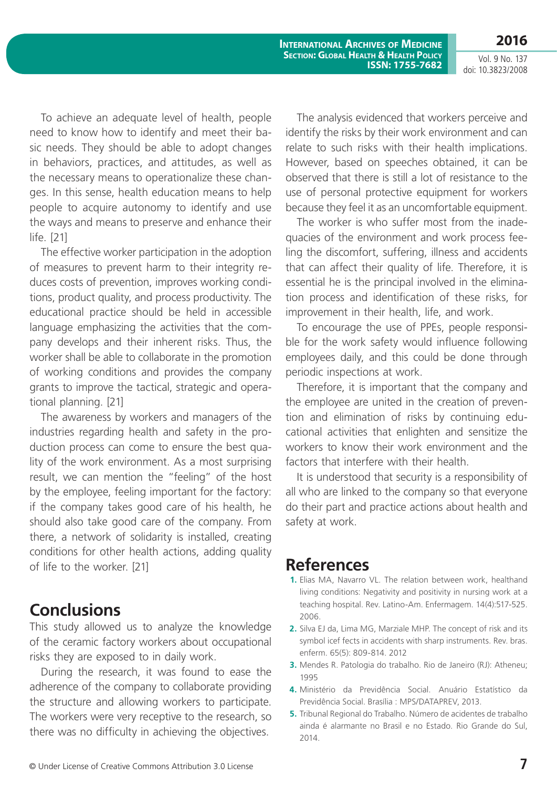**International Archives of Medicine Section: Global Health & Health Policy ISSN: 1755-7682**

Vol. 9 No. 137 doi: 10.3823/2008

**2016**

To achieve an adequate level of health, people need to know how to identify and meet their basic needs. They should be able to adopt changes in behaviors, practices, and attitudes, as well as the necessary means to operationalize these changes. In this sense, health education means to help people to acquire autonomy to identify and use the ways and means to preserve and enhance their life. [21]

The effective worker participation in the adoption of measures to prevent harm to their integrity reduces costs of prevention, improves working conditions, product quality, and process productivity. The educational practice should be held in accessible language emphasizing the activities that the company develops and their inherent risks. Thus, the worker shall be able to collaborate in the promotion of working conditions and provides the company grants to improve the tactical, strategic and operational planning. [21]

The awareness by workers and managers of the industries regarding health and safety in the production process can come to ensure the best quality of the work environment. As a most surprising result, we can mention the "feeling" of the host by the employee, feeling important for the factory: if the company takes good care of his health, he should also take good care of the company. From there, a network of solidarity is installed, creating conditions for other health actions, adding quality of life to the worker. [21]

### **Conclusions**

This study allowed us to analyze the knowledge of the ceramic factory workers about occupational risks they are exposed to in daily work.

During the research, it was found to ease the adherence of the company to collaborate providing the structure and allowing workers to participate. The workers were very receptive to the research, so there was no difficulty in achieving the objectives.

The analysis evidenced that workers perceive and identify the risks by their work environment and can relate to such risks with their health implications. However, based on speeches obtained, it can be observed that there is still a lot of resistance to the use of personal protective equipment for workers because they feel it as an uncomfortable equipment.

The worker is who suffer most from the inadequacies of the environment and work process feeling the discomfort, suffering, illness and accidents that can affect their quality of life. Therefore, it is essential he is the principal involved in the elimination process and identification of these risks, for improvement in their health, life, and work.

To encourage the use of PPEs, people responsible for the work safety would influence following employees daily, and this could be done through periodic inspections at work.

Therefore, it is important that the company and the employee are united in the creation of prevention and elimination of risks by continuing educational activities that enlighten and sensitize the workers to know their work environment and the factors that interfere with their health.

It is understood that security is a responsibility of all who are linked to the company so that everyone do their part and practice actions about health and safety at work.

### **References**

- **1.** Elias MA, Navarro VL. The relation between work, healthand living conditions: Negativity and positivity in nursing work at a teaching hospital. Rev. Latino-Am. Enfermagem. 14(4):517-525. 2006.
- **2.** Silva EJ da, Lima MG, Marziale MHP. The concept of risk and its symbol icef fects in accidents with sharp instruments. Rev. bras. enferm. 65(5): 809-814. 2012
- **3.** Mendes R. Patologia do trabalho. Rio de Janeiro (RJ): Atheneu; 1995
- **4.** Ministério da Previdência Social. Anuário Estatístico da Previdência Social. Brasília : MPS/DATAPREV, 2013.
- **5.** Tribunal Regional do Trabalho. Número de acidentes de trabalho ainda é alarmante no Brasil e no Estado. Rio Grande do Sul, 2014.